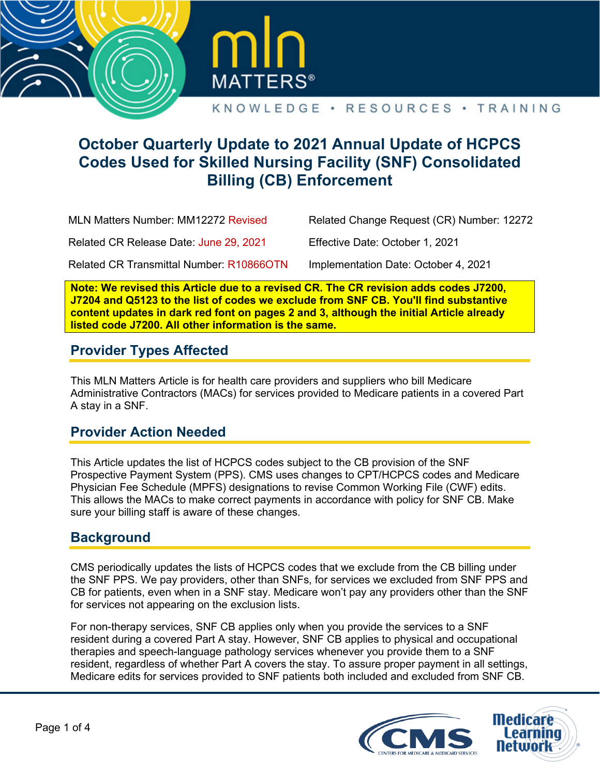



# **October Quarterly Update to 2021 Annual Update of HCPCS Codes Used for Skilled Nursing Facility (SNF) Consolidated Billing (CB) Enforcement**

MLN Matters Number: MM12272 Revised

Related Change Request (CR) Number: 12272

Related CR Release Date: June 29, 2021

Effective Date: October 1, 2021

Related CR Transmittal Number: R10866OTN

Implementation Date: October 4, 2021

**Note: We revised this Article due to a revised CR. The CR revision adds codes J7200, J7204 and Q5123 to the list of codes we exclude from SNF CB. You'll find substantive content updates in dark red font on pages 2 and 3, although the initial Article already listed code J7200. All other information is the same.** 

# **Provider Types Affected**

This MLN Matters Article is for health care providers and suppliers who bill Medicare Administrative Contractors (MACs) for services provided to Medicare patients in a covered Part A stay in a SNF.

# **Provider Action Needed**

This Article updates the list of HCPCS codes subject to the CB provision of the SNF Prospective Payment System (PPS). CMS uses changes to CPT/HCPCS codes and Medicare Physician Fee Schedule (MPFS) designations to revise Common Working File (CWF) edits. This allows the MACs to make correct payments in accordance with policy for SNF CB. Make sure your billing staff is aware of these changes.

### **Background**

CMS periodically updates the lists of HCPCS codes that we exclude from the CB billing under the SNF PPS. We pay providers, other than SNFs, for services we excluded from SNF PPS and CB for patients, even when in a SNF stay. Medicare won't pay any providers other than the SNF for services not appearing on the exclusion lists.

For non-therapy services, SNF CB applies only when you provide the services to a SNF resident during a covered Part A stay. However, SNF CB applies to physical and occupational therapies and speech-language pathology services whenever you provide them to a SNF resident, regardless of whether Part A covers the stay. To assure proper payment in all settings, Medicare edits for services provided to SNF patients both included and excluded from SNF CB.

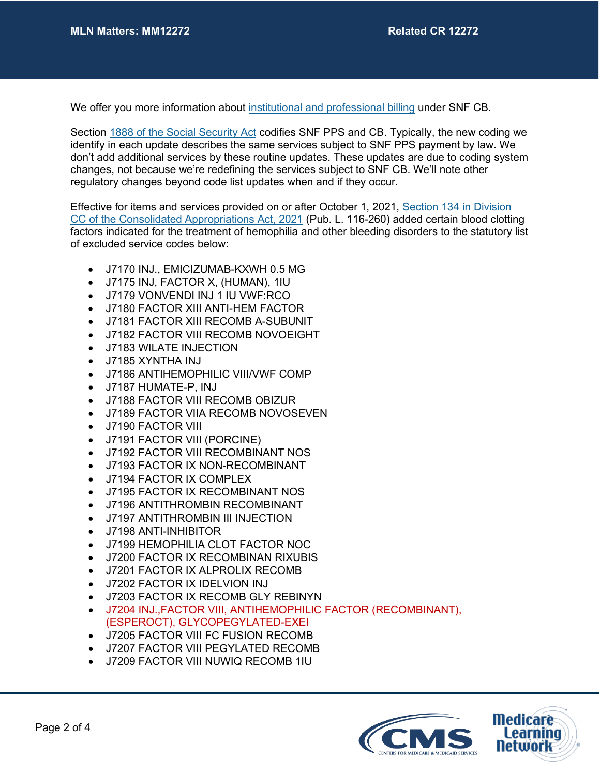We offer you more information about [institutional and professional billing](http://www.cms.gov/Medicare/Billing/SNFConsolidatedBilling/index.html?redirect=/SNFConsolidatedBilling/) under SNF CB.

Section [1888 of the Social Security Act](https://www.ssa.gov/OP_Home/ssact/title18/1888.htm) codifies SNF PPS and CB. Typically, the new coding we identify in each update describes the same services subject to SNF PPS payment by law. We don't add additional services by these routine updates. These updates are due to coding system changes, not because we're redefining the services subject to SNF CB. We'll note other regulatory changes beyond code list updates when and if they occur.

Effective for items and services provided on or after October 1, 2021, [Section 134](https://www.congress.gov/116/bills/hr133/BILLS-116hr133enr.pdf#page=1796) in Division [CC of the Consolidated Appropriations Act, 2021](https://www.congress.gov/116/bills/hr133/BILLS-116hr133enr.pdf#page=1796) (Pub. L. 116-260) added certain blood clotting factors indicated for the treatment of hemophilia and other bleeding disorders to the statutory list of excluded service codes below:

- J7170 INJ., EMICIZUMAB-KXWH 0.5 MG
- J7175 INJ, FACTOR X, (HUMAN), 1IU
- J7179 VONVENDI INJ 1 IU VWF:RCO
- J7180 FACTOR XIII ANTI-HEM FACTOR
- J7181 FACTOR XIII RECOMB A-SUBUNIT
- J7182 FACTOR VIII RECOMB NOVOEIGHT
- J7183 WILATE INJECTION
- J7185 XYNTHA INJ
- J7186 ANTIHEMOPHILIC VIII/VWF COMP
- J7187 HUMATE-P, INJ
- J7188 FACTOR VIII RECOMB OBIZUR
- J7189 FACTOR VIIA RECOMB NOVOSEVEN
- J7190 FACTOR VIII
- J7191 FACTOR VIII (PORCINE)
- J7192 FACTOR VIII RECOMBINANT NOS
- J7193 FACTOR IX NON-RECOMBINANT
- J7194 FACTOR IX COMPLEX
- J7195 FACTOR IX RECOMBINANT NOS
- J7196 ANTITHROMBIN RECOMBINANT
- J7197 ANTITHROMBIN III INJECTION
- J7198 ANTI-INHIBITOR
- J7199 HEMOPHILIA CLOT FACTOR NOC
- J7200 FACTOR IX RECOMBINAN RIXUBIS
- J7201 FACTOR IX ALPROLIX RECOMB
- J7202 FACTOR IX IDELVION INJ
- J7203 FACTOR IX RECOMB GLY REBINYN
- J7204 INJ.,FACTOR VIII, ANTIHEMOPHILIC FACTOR (RECOMBINANT), (ESPEROCT), GLYCOPEGYLATED-EXEI
- J7205 FACTOR VIII FC FUSION RECOMB
- J7207 FACTOR VIII PEGYLATED RECOMB
- J7209 FACTOR VIII NUWIQ RECOMB 1IU

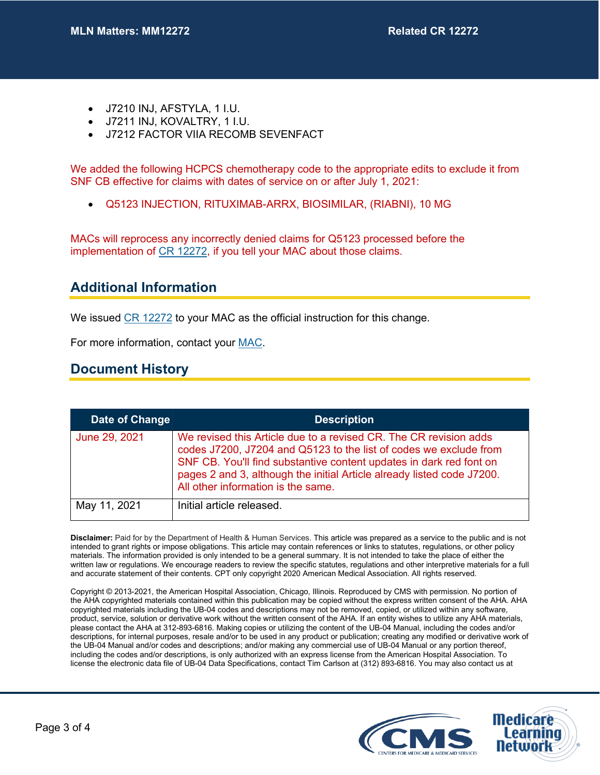- J7210 INJ, AFSTYLA, 1 I.U.
- J7211 INJ, KOVALTRY, 1 I.U.
- J7212 FACTOR VIIA RECOMB SEVENFACT

We added the following HCPCS chemotherapy code to the appropriate edits to exclude it from SNF CB effective for claims with dates of service on or after July 1, 2021:

• Q5123 INJECTION, RITUXIMAB-ARRX, BIOSIMILAR, (RIABNI), 10 MG

MACs will reprocess any incorrectly denied claims for Q5123 processed before the implementation of [CR 12272,](https://www.cms.gov/files/document/r10866OTN.pdf) if you tell your MAC about those claims.

### **Additional Information**

We issued [CR 12272](https://www.cms.gov/files/document/r10866OTN.pdf) to your MAC as the official instruction for this change.

For more information, contact your [MAC.](http://go.cms.gov/MAC-website-list)

#### **Document History**

| Date of Change | <b>Description</b>                                                                                                                                                                                                                                                                                                            |
|----------------|-------------------------------------------------------------------------------------------------------------------------------------------------------------------------------------------------------------------------------------------------------------------------------------------------------------------------------|
| June 29, 2021  | We revised this Article due to a revised CR. The CR revision adds<br>codes J7200, J7204 and Q5123 to the list of codes we exclude from<br>SNF CB. You'll find substantive content updates in dark red font on<br>pages 2 and 3, although the initial Article already listed code J7200.<br>All other information is the same. |
| May 11, 2021   | Initial article released.                                                                                                                                                                                                                                                                                                     |

**Disclaimer:** Paid for by the Department of Health & Human Services. This article was prepared as a service to the public and is not intended to grant rights or impose obligations. This article may contain references or links to statutes, regulations, or other policy materials. The information provided is only intended to be a general summary. It is not intended to take the place of either the written law or regulations. We encourage readers to review the specific statutes, regulations and other interpretive materials for a full and accurate statement of their contents. CPT only copyright 2020 American Medical Association. All rights reserved.

Copyright © 2013-2021, the American Hospital Association, Chicago, Illinois. Reproduced by CMS with permission. No portion of the AHA copyrighted materials contained within this publication may be copied without the express written consent of the AHA. AHA copyrighted materials including the UB-04 codes and descriptions may not be removed, copied, or utilized within any software, product, service, solution or derivative work without the written consent of the AHA. If an entity wishes to utilize any AHA materials, please contact the AHA at 312-893-6816. Making copies or utilizing the content of the UB-04 Manual, including the codes and/or descriptions, for internal purposes, resale and/or to be used in any product or publication; creating any modified or derivative work of the UB-04 Manual and/or codes and descriptions; and/or making any commercial use of UB-04 Manual or any portion thereof, including the codes and/or descriptions, is only authorized with an express license from the American Hospital Association. To license the electronic data file of UB-04 Data Specifications, contact Tim Carlson at (312) 893-6816. You may also contact us at